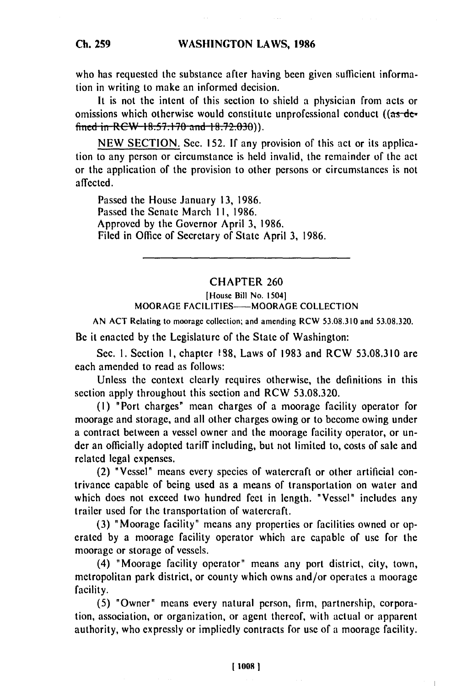who has requested the substance after having been given sufficient information in writing to make an informed decision.

It is not the intent of this section to shield a physician from acts or omissions which otherwise would constitute unprofessional conduct  $((as-de-)$ **fined in RCW 18.57.170 and 18.72.030)**.

NEW SECTION. Sec. 152. **If** any provision of this act or its application to any person or circumstance is held invalid, the remainder of the act or the application of the provision to other persons or circumstances is not affected.

Passed the House January 13, 1986. Passed the Senate March **11,** 1986. Approved by the Governor April 3, 1986. Filed in Office of Secretary of State April **3, 1986.**

## CHAPTER **260**

[Housc Bill No. 15041 MOORAGE FACILITIES-MOORAGE COLLECTION

AN ACT Rclating to mooragc collcction; and amcnding RCW 53.08.3 10 and 53.08.320.

Be it enacted by the Legislature of the State of Washington:

Sec. I. Section **1,** chapter 1S8, Laws of 1983 and RCW 53.08.3 10 are each amended to read as follows:

Unless the context clearly requires otherwise, the definitions in this section apply throughout this section and RCW 53.08.320.

**(1)** "Port charges" mean charges of a moorage facility operator for moorage and storage, and all other charges owing or to become owing under a contract between a vessel owner and the moorage facility operator, or under an officially adopted tariff including, but not limited to, costs of sale and related legal expenses.

(2) "Vessel" means every species of watercraft or other artificial contrivance capable of being used as a means of transportation on water and which does not exceed two hundred feet in length. "Vessel" includes any trailer used for the transportation of watercraft.

(3) "Moorage facility" means any properties or facilities owned or operated by a moorage facility operator which are capable of use for the moorage or storage of vessels.

(4) "Moorage facility operator" means any port district, city, town, metropolitan park district, or county which owns and/or operates a moorage facility.

(5) "Owner" means every natural person, firm, partnership, corporation, association, or organization, or agent thereof, with actual or apparent authority, who expressly or impliedly contracts for use of a moorage facility.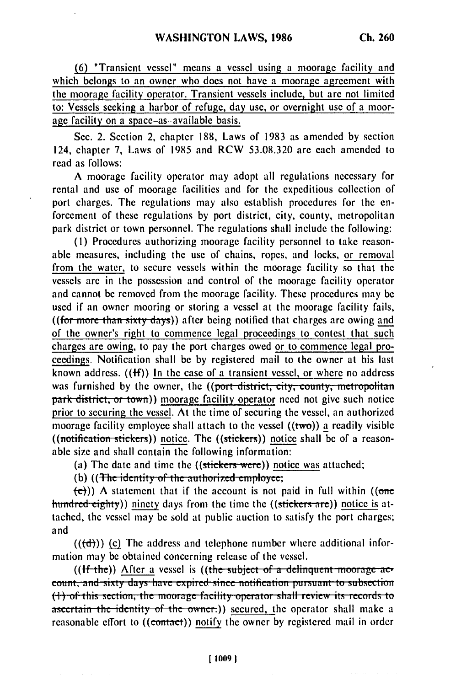(6) "Transient vessel" means a vessel using a moorage facility and which belongs to an owner who does not have a moorage agreement with the moorage facility operator. Transient vessels include, but are not limited to: Vessels seeking a harbor of refuge, day use, or overnight use of a moorage facility on a space-as-available basis.

Sec. 2. Section 2, chapter 188, Laws of 1983 as amended by section 124, chapter 7, Laws of 1985 and RCW 53.08.320 are each amended to read as follows:

A moorage facility operator may adopt all regulations necessary for rental and use of moorage facilities and for the expeditious collection of port charges. The regulations may also establish procedures for the enforcement of these regulations by port district, city, county, metropolitan park district or town personnel. The regulations shall include the following:

(I) Procedures authorizing moorage facility personnel to take reasonable measures, including the use of chains, ropes, and locks, or removal from the water, to secure vessels within the moorage facility so that the vessels are in the possession and control of the moorage facility operator and cannot be removed from the moorage facility. These procedures may be used if an owner mooring or storing a vessel at the moorage facility fails, ((for more than sixty days)) after being notified that charges are owing and of the owner's right to commence legal proceedings to contest that such charges are owing, to pay the port charges owed or to commence legal proceedings. Notification shall be by registered mail to the owner at his last known address.  $((ff))$  In the case of a transient vessel, or where no address was furnished by the owner, the ((port district, city, county, metropolitan park district, or town)) moorage facility operator need not give such notice prior to securing the vessel. At the time of securing the vessel, an authorized moorage facility employee shall attach to the vessel  $((two))$  a readily visible ((notification stickers)) notice. The ((stickers)) notice shall be of a reasonable size and shall contain the following information:

(a) The date and time the ((stickers were)) notice was attached;

**(b)** ((The identity of the authorized employee;

 $\left(\frac{1}{2}\right)$ ) A statement that if the account is not paid in full within ((one hundred eighty)) ninety days from the time the ((stickers are)) notice is attached, the vessel may be sold at public auction to satisfy the port charges; and

 $((\{d\}))$  (c) The address and telephone number where additional information may be obtained concerning release of the vessel.

((**If**-the)) After a vessel is ((the subject of a delinquent moorage ac**count, and sixty days have expired since notification pursuant to subsection** (1) of this section, the moorage facility operator shall review its records to ascertain the identity of the owner.)) secured, the operator shall make a reasonable effort to ((contact)) notify the owner by registered mail in order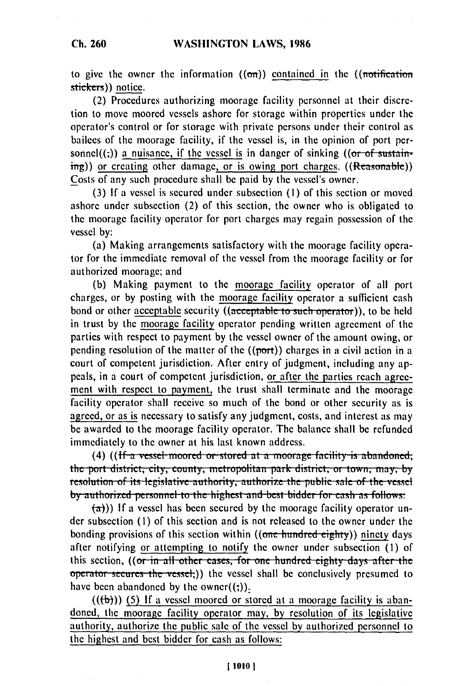## **WASHINGTON LAWS, 1986**

to give the owner the information  $((\sigma \pi))$  contained in the  $((\sigma \sigma \sigma))$ stickers)) notice.

(2) Procedures authorizing moorage facility personnel at their discretion to move moored vessels ashore for storage within properties under the operator's control or for storage with private persons under their control as bailees of the moorage facility, if the vessel is, in the opinion of port personnel $((,))$  a nuisance, if the vessel is in danger of sinking  $((or of  $3$ ustain$ ing)) or creating other damage, or is owing port charges. ((Reasonable)) Costs of any such procedure shall be paid by the vessel's owner.

(3) If a vessel is secured under subsection (I) of this section or moved ashore under subsection (2) of this section, the owner who is obligated to the moorage facility operator for port charges may regain possession of the vessel by:

(a) Making arrangements satisfactory with the moorage facility operator for the immediate removal of the vessel from the moorage facility or for authorized moorage; and

(b) Making payment to the moorage facility operator of all port charges, or by posting with the moorage facility operator a sufficient cash bond or other acceptable security ((acceptable to such operator)), to be held in trust by the moorage facility operator pending written agreement of the parties with respect to payment by the vessel owner of the amount owing, or pending resolution of the matter of the  $((port))$  charges in a civil action in a court of competent jurisdiction. After entry of judgment, including any appeals, in a court of competent jurisdiction, or after the parties reach agreement with respect to payment, the trust shall terminate and the moorage facility operator shall receive so much of the bond or other security as is agreed, or as is necessary to satisfy any judgment, costs, and interest as may be awarded to the moorage facility operator. The balance shall be refunded immediately to the owner at his last known address.

(4) ((If a vessel moored or stored at a moorage facility is abandoned; **the port district, city, county, metropolitan park district, or town, may, by** *I* resolution of its legislative authority, authorize the public sale of the vessel by authorized personnel to the highest and best bidder for cash as follows:

 $(a)$ )) If a vessel has been secured by the moorage facility operator under subsection (I) of this section and is not released to the owner under the bonding provisions of this section within ((one hundred eighty)) ninety days after notifying or attempting to notify the owner under subsection (I) of this section, ((or in all other cases, for one hundred eighty days after the operator secures the vessel;)) the vessel shall be conclusively presumed to have been abandoned by the owner $((\cdot))$ .

 $((\forall$ )) (5) If a vessel moored or stored at a moorage facility is abandoned, the moorage facility operator may, by resolution of its legislative authority, authorize the public sale of the vessel by authorized personnel to the highest and best bidder for cash as follows: